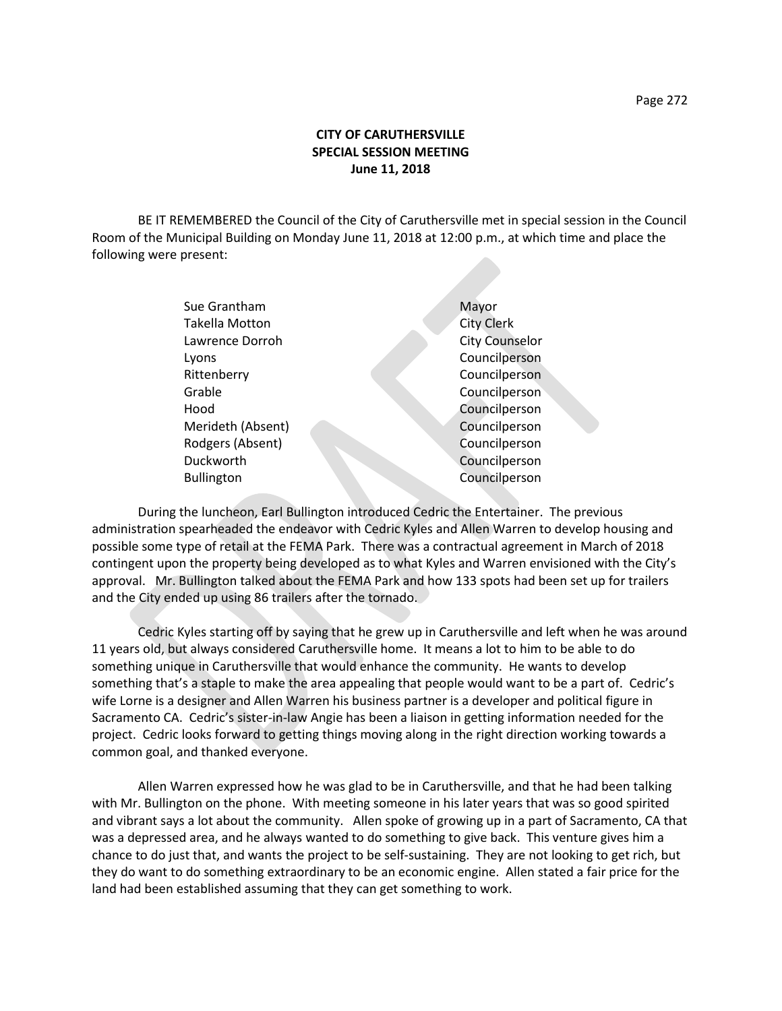## **CITY OF CARUTHERSVILLE SPECIAL SESSION MEETING June 11, 2018**

BE IT REMEMBERED the Council of the City of Caruthersville met in special session in the Council Room of the Municipal Building on Monday June 11, 2018 at 12:00 p.m., at which time and place the following were present:

| Sue Grantham      | Mayor                 |
|-------------------|-----------------------|
| Takella Motton    | <b>City Clerk</b>     |
| Lawrence Dorroh   | <b>City Counselor</b> |
| Lyons             | Councilperson         |
| Rittenberry       | Councilperson         |
| Grable            | Councilperson         |
| Hood              | Councilperson         |
| Merideth (Absent) | Councilperson         |
| Rodgers (Absent)  | Councilperson         |
| Duckworth         | Councilperson         |
| <b>Bullington</b> | Councilperson         |
|                   |                       |

During the luncheon, Earl Bullington introduced Cedric the Entertainer. The previous administration spearheaded the endeavor with Cedric Kyles and Allen Warren to develop housing and possible some type of retail at the FEMA Park. There was a contractual agreement in March of 2018 contingent upon the property being developed as to what Kyles and Warren envisioned with the City's approval. Mr. Bullington talked about the FEMA Park and how 133 spots had been set up for trailers and the City ended up using 86 trailers after the tornado.

Cedric Kyles starting off by saying that he grew up in Caruthersville and left when he was around 11 years old, but always considered Caruthersville home. It means a lot to him to be able to do something unique in Caruthersville that would enhance the community. He wants to develop something that's a staple to make the area appealing that people would want to be a part of. Cedric's wife Lorne is a designer and Allen Warren his business partner is a developer and political figure in Sacramento CA. Cedric's sister-in-law Angie has been a liaison in getting information needed for the project. Cedric looks forward to getting things moving along in the right direction working towards a common goal, and thanked everyone.

Allen Warren expressed how he was glad to be in Caruthersville, and that he had been talking with Mr. Bullington on the phone. With meeting someone in his later years that was so good spirited and vibrant says a lot about the community. Allen spoke of growing up in a part of Sacramento, CA that was a depressed area, and he always wanted to do something to give back. This venture gives him a chance to do just that, and wants the project to be self-sustaining. They are not looking to get rich, but they do want to do something extraordinary to be an economic engine. Allen stated a fair price for the land had been established assuming that they can get something to work.